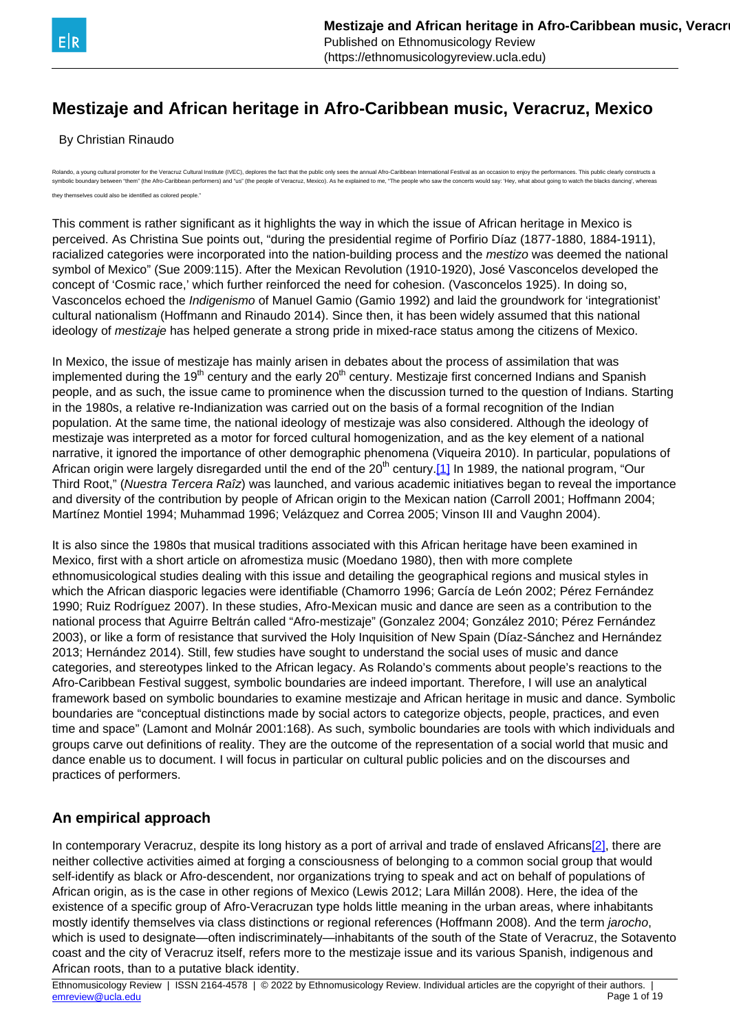<span id="page-0-0"></span>

By Christian Rinaudo

do, a young cultural promoter for the Veracruz Cultural Institute (IVEC), deplores the fact that the public only sees the annual Afro-Caribbean International Festival as an occasion to enjoy the performances. This public c symbolic boundary between "them" (the Afro-Caribbean performers) and "us" (the people of Veracruz, Mexico). As he explained to me. "The people who saw the concerts would say: "Hev, what about going to watch the blacks danc they themselves could also be identified as colored people."

This comment is rather significant as it highlights the way in which the issue of African heritage in Mexico is perceived. As Christina Sue points out, "during the presidential regime of Porfirio Díaz (1877-1880, 1884-1911), racialized categories were incorporated into the nation-building process and the *mestizo* was deemed the national symbol of Mexico" (Sue 2009:115). After the Mexican Revolution (1910-1920), José Vasconcelos developed the concept of 'Cosmic race,' which further reinforced the need for cohesion. (Vasconcelos 1925). In doing so, Vasconcelos echoed the Indigenismo of Manuel Gamio (Gamio 1992) and laid the groundwork for 'integrationist' cultural nationalism (Hoffmann and Rinaudo 2014). Since then, it has been widely assumed that this national ideology of mestizaje has helped generate a strong pride in mixed-race status among the citizens of Mexico.

In Mexico, the issue of mestizaje has mainly arisen in debates about the process of assimilation that was implemented during the 19<sup>th</sup> century and the early  $20<sup>th</sup>$  century. Mestizaje first concerned Indians and Spanish people, and as such, the issue came to prominence when the discussion turned to the question of Indians. Starting in the 1980s, a relative re-Indianization was carried out on the basis of a formal recognition of the Indian population. At the same time, the national ideology of mestizaje was also considered. Although the ideology of mestizaje was interpreted as a motor for forced cultural homogenization, and as the key element of a national narrative, it ignored the importance of other demographic phenomena (Viqueira 2010). In particular, populations of African origin were largely disregarded until the end of the 20<sup>th</sup> century.<sup>[\[1\]](#page-0-0)</sup> In 1989, the national program, "Our Third Root," (Nuestra Tercera Raîz) was launched, and various academic initiatives began to reveal the importance and diversity of the contribution by people of African origin to the Mexican nation (Carroll 2001; Hoffmann 2004; Martínez Montiel 1994; Muhammad 1996; Velázquez and Correa 2005; Vinson III and Vaughn 2004).

It is also since the 1980s that musical traditions associated with this African heritage have been examined in Mexico, first with a short article on afromestiza music (Moedano 1980), then with more complete ethnomusicological studies dealing with this issue and detailing the geographical regions and musical styles in which the African diasporic legacies were identifiable (Chamorro 1996; García de León 2002; Pérez Fernández 1990; Ruiz Rodríguez 2007). In these studies, Afro-Mexican music and dance are seen as a contribution to the national process that Aguirre Beltrán called "Afro-mestizaje" (Gonzalez 2004; González 2010; Pérez Fernández 2003), or like a form of resistance that survived the Holy Inquisition of New Spain (Díaz-Sánchez and Hernández 2013; Hernández 2014). Still, few studies have sought to understand the social uses of music and dance categories, and stereotypes linked to the African legacy. As Rolando's comments about people's reactions to the Afro-Caribbean Festival suggest, symbolic boundaries are indeed important. Therefore, I will use an analytical framework based on symbolic boundaries to examine mestizaje and African heritage in music and dance. Symbolic boundaries are "conceptual distinctions made by social actors to categorize objects, people, practices, and even time and space" (Lamont and Molnár 2001:168). As such, symbolic boundaries are tools with which individuals and groups carve out definitions of reality. They are the outcome of the representation of a social world that music and dance enable us to document. I will focus in particular on cultural public policies and on the discourses and practices of performers.

## **An empirical approach**

In contemporary Veracruz, despite its long history as a port of arrival and trade of enslaved Africans[\[2\],](#page-0-0) there are neither collective activities aimed at forging a consciousness of belonging to a common social group that would self-identify as black or Afro-descendent, nor organizations trying to speak and act on behalf of populations of African origin, as is the case in other regions of Mexico (Lewis 2012; Lara Millán 2008). Here, the idea of the existence of a specific group of Afro-Veracruzan type holds little meaning in the urban areas, where inhabitants mostly identify themselves via class distinctions or regional references (Hoffmann 2008). And the term jarocho, which is used to designate—often indiscriminately—inhabitants of the south of the State of Veracruz, the Sotavento coast and the city of Veracruz itself, refers more to the mestizaje issue and its various Spanish, indigenous and African roots, than to a putative black identity.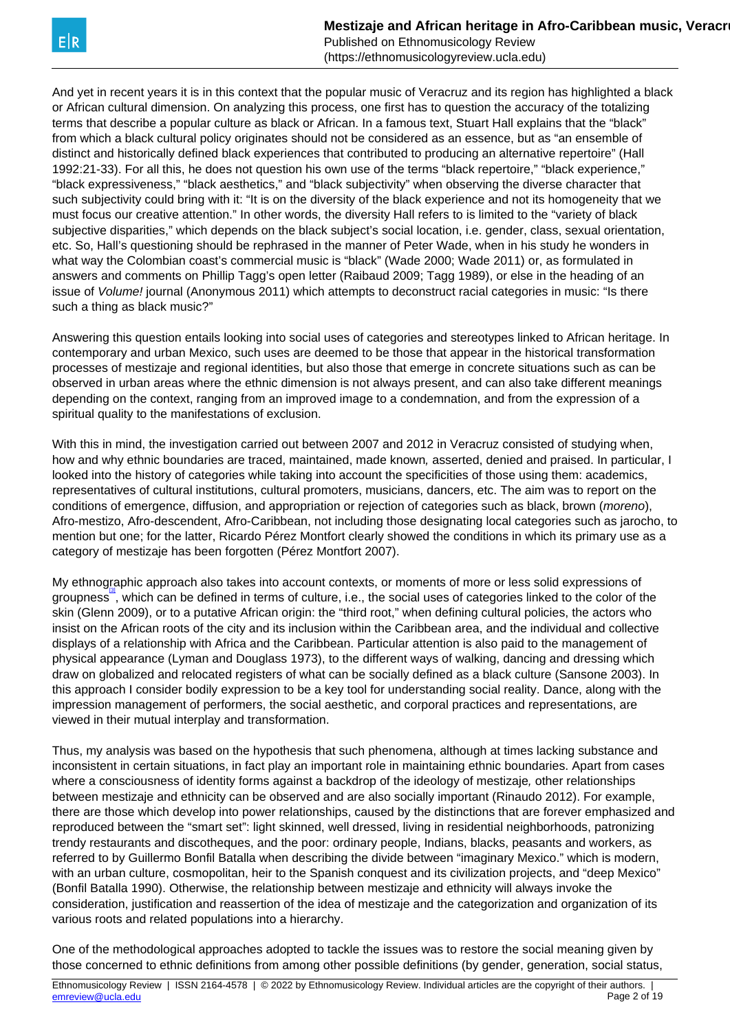<span id="page-1-0"></span>And yet in recent years it is in this context that the popular music of Veracruz and its region has highlighted a black or African cultural dimension. On analyzing this process, one first has to question the accuracy of the totalizing terms that describe a popular culture as black or African. In a famous text, Stuart Hall explains that the "black" from which a black cultural policy originates should not be considered as an essence, but as "an ensemble of distinct and historically defined black experiences that contributed to producing an alternative repertoire" (Hall 1992:21-33). For all this, he does not question his own use of the terms "black repertoire," "black experience," "black expressiveness," "black aesthetics," and "black subjectivity" when observing the diverse character that such subjectivity could bring with it: "It is on the diversity of the black experience and not its homogeneity that we must focus our creative attention." In other words, the diversity Hall refers to is limited to the "variety of black subjective disparities," which depends on the black subject's social location, i.e. gender, class, sexual orientation, etc. So, Hall's questioning should be rephrased in the manner of Peter Wade, when in his study he wonders in what way the Colombian coast's commercial music is "black" (Wade 2000; Wade 2011) or, as formulated in answers and comments on Phillip Tagg's open letter (Raibaud 2009; Tagg 1989), or else in the heading of an issue of Volume! journal (Anonymous 2011) which attempts to deconstruct racial categories in music: "Is there such a thing as black music?"

Answering this question entails looking into social uses of categories and stereotypes linked to African heritage. In contemporary and urban Mexico, such uses are deemed to be those that appear in the historical transformation processes of mestizaje and regional identities, but also those that emerge in concrete situations such as can be observed in urban areas where the ethnic dimension is not always present, and can also take different meanings depending on the context, ranging from an improved image to a condemnation, and from the expression of a spiritual quality to the manifestations of exclusion.

With this in mind, the investigation carried out between 2007 and 2012 in Veracruz consisted of studying when, how and why ethnic boundaries are traced, maintained, made known, asserted, denied and praised. In particular, I looked into the history of categories while taking into account the specificities of those using them: academics, representatives of cultural institutions, cultural promoters, musicians, dancers, etc. The aim was to report on the conditions of emergence, diffusion, and appropriation or rejection of categories such as black, brown (moreno), Afro-mestizo, Afro-descendent, Afro-Caribbean, not including those designating local categories such as jarocho, to mention but one; for the latter, Ricardo Pérez Montfort clearly showed the conditions in which its primary use as a category of mestizaje has been forgotten (Pérez Montfort 2007).

My ethnographic approach also takes into account contexts, or moments of more or less solid expressions of groupness", which can be defined in terms of culture, i.e., the social uses of categories linked to the color of the skin (Glenn 2009), or to a putative African origin: the "third root," when defining cultural policies, the actors who insist on the African roots of the city and its inclusion within the Caribbean area, and the individual and collective displays of a relationship with Africa and the Caribbean. Particular attention is also paid to the management of physical appearance (Lyman and Douglass 1973), to the different ways of walking, dancing and dressing which draw on globalized and relocated registers of what can be socially defined as a black culture (Sansone 2003). In this approach I consider bodily expression to be a key tool for understanding social reality. Dance, along with the impression management of performers, the social aesthetic, and corporal practices and representations, are viewed in their mutual interplay and transformation.

Thus, my analysis was based on the hypothesis that such phenomena, although at times lacking substance and inconsistent in certain situations, in fact play an important role in maintaining ethnic boundaries. Apart from cases where a consciousness of identity forms against a backdrop of the ideology of mestizaje, other relationships between mestizaje and ethnicity can be observed and are also socially important (Rinaudo 2012). For example, there are those which develop into power relationships, caused by the distinctions that are forever emphasized and reproduced between the "smart set": light skinned, well dressed, living in residential neighborhoods, patronizing trendy restaurants and discotheques, and the poor: ordinary people, Indians, blacks, peasants and workers, as referred to by Guillermo Bonfil Batalla when describing the divide between "imaginary Mexico." which is modern, with an urban culture, cosmopolitan, heir to the Spanish conquest and its civilization projects, and "deep Mexico" (Bonfil Batalla 1990). Otherwise, the relationship between mestizaje and ethnicity will always invoke the consideration, justification and reassertion of the idea of mestizaje and the categorization and organization of its various roots and related populations into a hierarchy.

One of the methodological approaches adopted to tackle the issues was to restore the social meaning given by those concerned to ethnic definitions from among other possible definitions (by gender, generation, social status,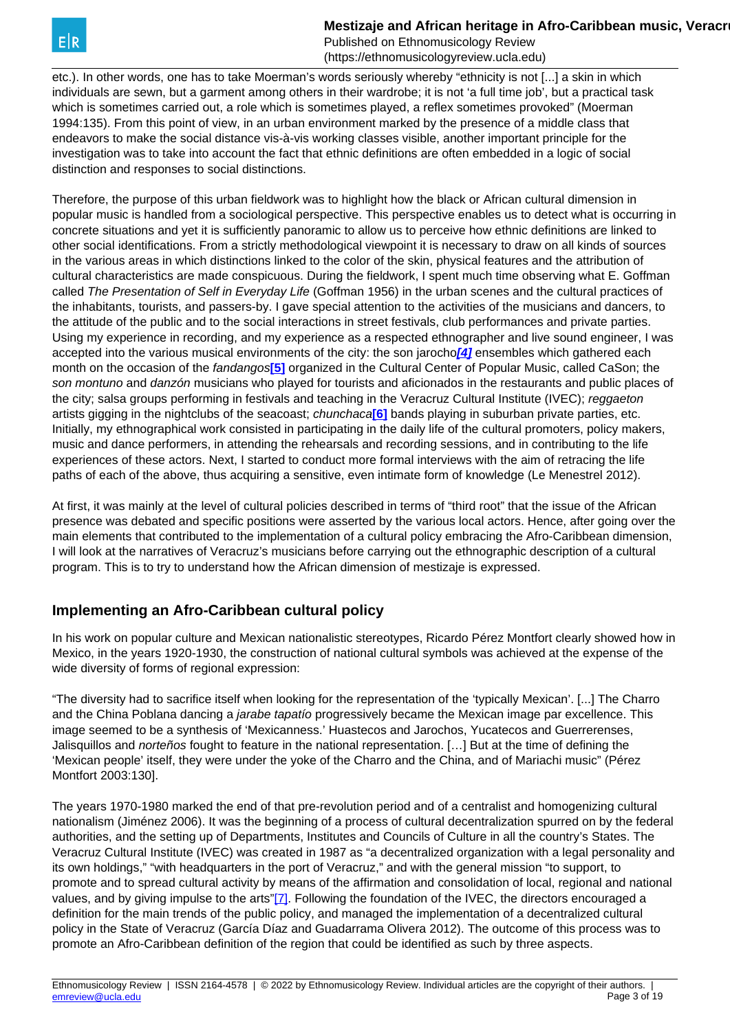<span id="page-2-0"></span>etc.). In other words, one has to take Moerman's words seriously whereby "ethnicity is not [...] a skin in which individuals are sewn, but a garment among others in their wardrobe; it is not 'a full time job', but a practical task which is sometimes carried out, a role which is sometimes played, a reflex sometimes provoked" (Moerman 1994:135). From this point of view, in an urban environment marked by the presence of a middle class that endeavors to make the social distance vis-à-vis working classes visible, another important principle for the investigation was to take into account the fact that ethnic definitions are often embedded in a logic of social distinction and responses to social distinctions.

Therefore, the purpose of this urban fieldwork was to highlight how the black or African cultural dimension in popular music is handled from a sociological perspective. This perspective enables us to detect what is occurring in concrete situations and yet it is sufficiently panoramic to allow us to perceive how ethnic definitions are linked to other social identifications. From a strictly methodological viewpoint it is necessary to draw on all kinds of sources in the various areas in which distinctions linked to the color of the skin, physical features and the attribution of cultural characteristics are made conspicuous. During the fieldwork, I spent much time observing what E. Goffman called The Presentation of Self in Everyday Life (Goffman 1956) in the urban scenes and the cultural practices of the inhabitants, tourists, and passers-by. I gave special attention to the activities of the musicians and dancers, to the attitude of the public and to the social interactions in street festivals, club performances and private parties. Using my experience in recording, and my experience as a respected ethnographer and live sound engineer, I was accepted into the various musical environments of the city: the son jarocho**[\[4\]](#page-2-0)** ensembles which gathered each month on the occasion of the fandangos**[\[5\]](#page-2-0)** organized in the Cultural Center of Popular Music, called CaSon; the son montuno and danzón musicians who played for tourists and aficionados in the restaurants and public places of the city; salsa groups performing in festivals and teaching in the Veracruz Cultural Institute (IVEC); reggaeton artists gigging in the nightclubs of the seacoast; chunchaca**[\[6\]](#page-2-0)** bands playing in suburban private parties, etc. Initially, my ethnographical work consisted in participating in the daily life of the cultural promoters, policy makers, music and dance performers, in attending the rehearsals and recording sessions, and in contributing to the life experiences of these actors. Next, I started to conduct more formal interviews with the aim of retracing the life paths of each of the above, thus acquiring a sensitive, even intimate form of knowledge (Le Menestrel 2012).

At first, it was mainly at the level of cultural policies described in terms of "third root" that the issue of the African presence was debated and specific positions were asserted by the various local actors. Hence, after going over the main elements that contributed to the implementation of a cultural policy embracing the Afro-Caribbean dimension, I will look at the narratives of Veracruz's musicians before carrying out the ethnographic description of a cultural program. This is to try to understand how the African dimension of mestizaje is expressed.

## **Implementing an Afro-Caribbean cultural policy**

In his work on popular culture and Mexican nationalistic stereotypes, Ricardo Pérez Montfort clearly showed how in Mexico, in the years 1920-1930, the construction of national cultural symbols was achieved at the expense of the wide diversity of forms of regional expression:

"The diversity had to sacrifice itself when looking for the representation of the 'typically Mexican'. [...] The Charro and the China Poblana dancing a *jarabe tapatío* progressively became the Mexican image par excellence. This image seemed to be a synthesis of 'Mexicanness.' Huastecos and Jarochos, Yucatecos and Guerrerenses, Jalisquillos and *norteños* fought to feature in the national representation. […] But at the time of defining the 'Mexican people' itself, they were under the yoke of the Charro and the China, and of Mariachi music" (Pérez Montfort 2003:130].

The years 1970-1980 marked the end of that pre-revolution period and of a centralist and homogenizing cultural nationalism (Jiménez 2006). It was the beginning of a process of cultural decentralization spurred on by the federal authorities, and the setting up of Departments, Institutes and Councils of Culture in all the country's States. The Veracruz Cultural Institute (IVEC) was created in 1987 as "a decentralized organization with a legal personality and its own holdings," "with headquarters in the port of Veracruz," and with the general mission "to support, to promote and to spread cultural activity by means of the affirmation and consolidation of local, regional and national values, and by giving impulse to the arts"[\[7\].](#page-2-0) Following the foundation of the IVEC, the directors encouraged a definition for the main trends of the public policy, and managed the implementation of a decentralized cultural policy in the State of Veracruz (García Díaz and Guadarrama Olivera 2012). The outcome of this process was to promote an Afro-Caribbean definition of the region that could be identified as such by three aspects.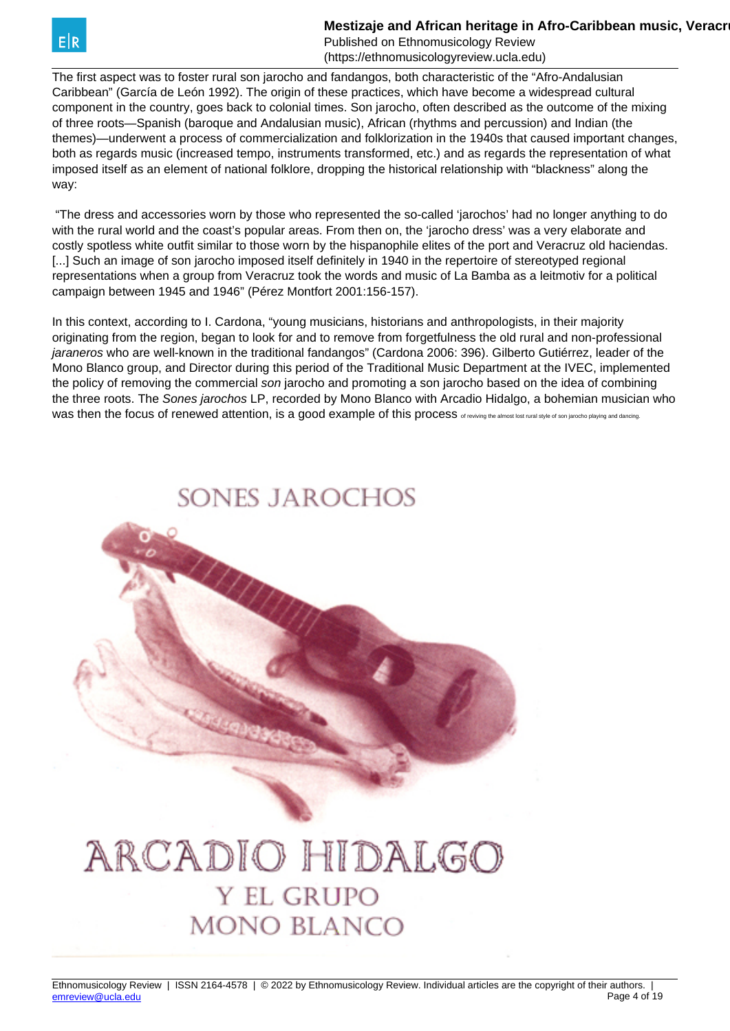

Published on Ethnomusicology Review (https://ethnomusicologyreview.ucla.edu)

The first aspect was to foster rural son jarocho and fandangos, both characteristic of the "Afro-Andalusian Caribbean" (García de León 1992). The origin of these practices, which have become a widespread cultural component in the country, goes back to colonial times. Son jarocho, often described as the outcome of the mixing of three roots—Spanish (baroque and Andalusian music), African (rhythms and percussion) and Indian (the themes)—underwent a process of commercialization and folklorization in the 1940s that caused important changes, both as regards music (increased tempo, instruments transformed, etc.) and as regards the representation of what imposed itself as an element of national folklore, dropping the historical relationship with "blackness" along the way:

 "The dress and accessories worn by those who represented the so-called 'jarochos' had no longer anything to do with the rural world and the coast's popular areas. From then on, the 'jarocho dress' was a very elaborate and costly spotless white outfit similar to those worn by the hispanophile elites of the port and Veracruz old haciendas. [...] Such an image of son jarocho imposed itself definitely in 1940 in the repertoire of stereotyped regional representations when a group from Veracruz took the words and music of La Bamba as a leitmotiv for a political campaign between 1945 and 1946" (Pérez Montfort 2001:156-157).

In this context, according to I. Cardona, "young musicians, historians and anthropologists, in their majority originating from the region, began to look for and to remove from forgetfulness the old rural and non-professional jaraneros who are well-known in the traditional fandangos" (Cardona 2006: 396). Gilberto Gutiérrez, leader of the Mono Blanco group, and Director during this period of the Traditional Music Department at the IVEC, implemented the policy of removing the commercial son jarocho and promoting a son jarocho based on the idea of combining the three roots. The Sones jarochos LP, recorded by Mono Blanco with Arcadio Hidalgo, a bohemian musician who Was then the focus of renewed attention, is a good example of this process of reviving the almost lost rural style of son jarocho playing and dancing.

# SONES JAROCHOS

# ARCADIO HIDALGO **Y EL GRUPO MONO BLANCO**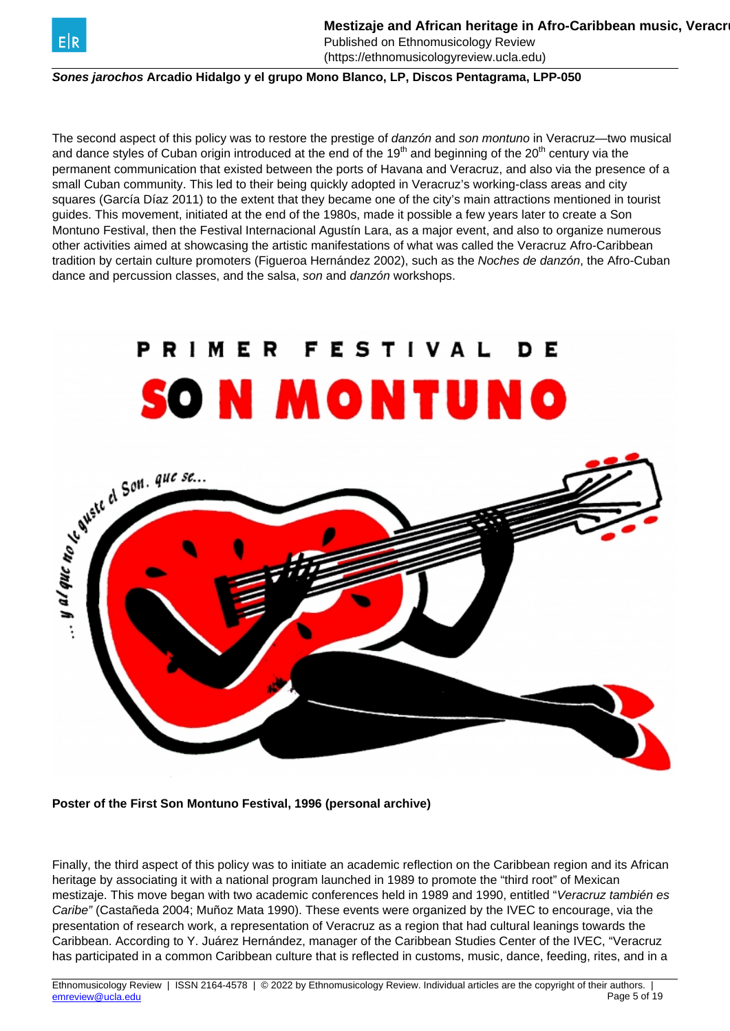

Published on Ethnomusicology Review (https://ethnomusicologyreview.ucla.edu)

**Sones jarochos Arcadio Hidalgo y el grupo Mono Blanco, LP, Discos Pentagrama, LPP-050**

The second aspect of this policy was to restore the prestige of *danzón* and son montuno in Veracruz—two musical and dance styles of Cuban origin introduced at the end of the 19<sup>th</sup> and beginning of the 20<sup>th</sup> century via the permanent communication that existed between the ports of Havana and Veracruz, and also via the presence of a small Cuban community. This led to their being quickly adopted in Veracruz's working-class areas and city squares (García Díaz 2011) to the extent that they became one of the city's main attractions mentioned in tourist guides. This movement, initiated at the end of the 1980s, made it possible a few years later to create a Son Montuno Festival, then the Festival Internacional Agustín Lara, as a major event, and also to organize numerous other activities aimed at showcasing the artistic manifestations of what was called the Veracruz Afro-Caribbean tradition by certain culture promoters (Figueroa Hernández 2002), such as the Noches de danzón, the Afro-Cuban dance and percussion classes, and the salsa, son and danzón workshops.



#### **Poster of the First Son Montuno Festival, 1996 (personal archive)**

Finally, the third aspect of this policy was to initiate an academic reflection on the Caribbean region and its African heritage by associating it with a national program launched in 1989 to promote the "third root" of Mexican mestizaje. This move began with two academic conferences held in 1989 and 1990, entitled "Veracruz también es Caribe" (Castañeda 2004; Muñoz Mata 1990). These events were organized by the IVEC to encourage, via the presentation of research work, a representation of Veracruz as a region that had cultural leanings towards the Caribbean. According to Y. Juárez Hernández, manager of the Caribbean Studies Center of the IVEC, "Veracruz has participated in a common Caribbean culture that is reflected in customs, music, dance, feeding, rites, and in a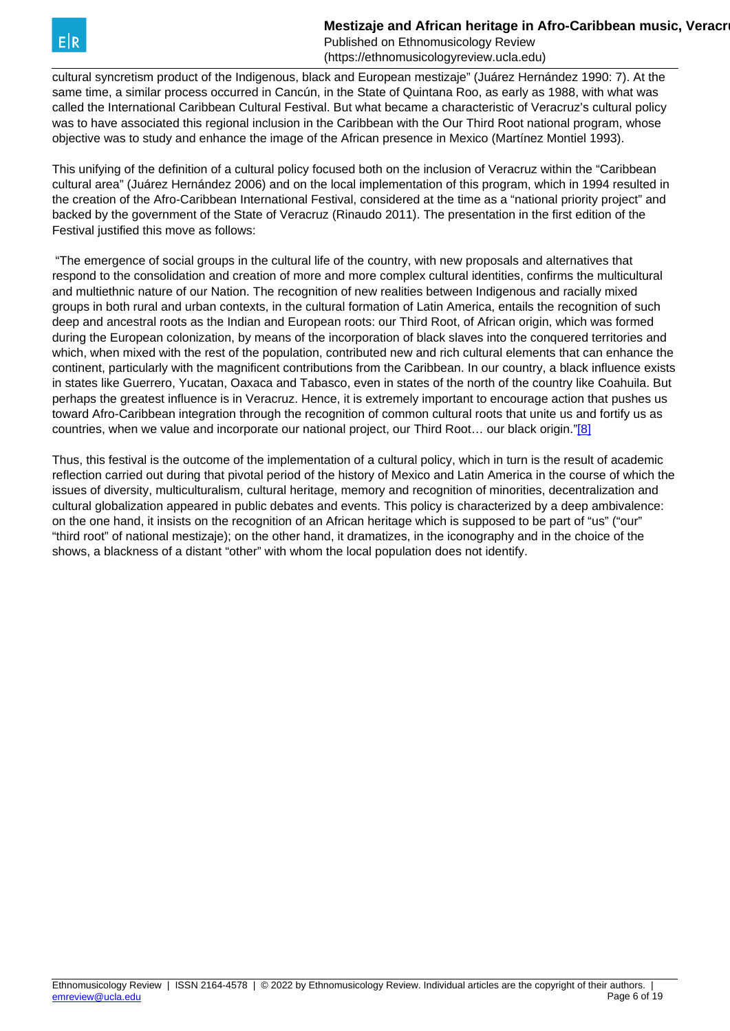Published on Ethnomusicology Review (https://ethnomusicologyreview.ucla.edu)

<span id="page-5-0"></span>cultural syncretism product of the Indigenous, black and European mestizaje" (Juárez Hernández 1990: 7). At the same time, a similar process occurred in Cancún, in the State of Quintana Roo, as early as 1988, with what was called the International Caribbean Cultural Festival. But what became a characteristic of Veracruz's cultural policy was to have associated this regional inclusion in the Caribbean with the Our Third Root national program, whose objective was to study and enhance the image of the African presence in Mexico (Martínez Montiel 1993).

This unifying of the definition of a cultural policy focused both on the inclusion of Veracruz within the "Caribbean cultural area" (Juárez Hernández 2006) and on the local implementation of this program, which in 1994 resulted in the creation of the Afro-Caribbean International Festival, considered at the time as a "national priority project" and backed by the government of the State of Veracruz (Rinaudo 2011). The presentation in the first edition of the Festival justified this move as follows:

 "The emergence of social groups in the cultural life of the country, with new proposals and alternatives that respond to the consolidation and creation of more and more complex cultural identities, confirms the multicultural and multiethnic nature of our Nation. The recognition of new realities between Indigenous and racially mixed groups in both rural and urban contexts, in the cultural formation of Latin America, entails the recognition of such deep and ancestral roots as the Indian and European roots: our Third Root, of African origin, which was formed during the European colonization, by means of the incorporation of black slaves into the conquered territories and which, when mixed with the rest of the population, contributed new and rich cultural elements that can enhance the continent, particularly with the magnificent contributions from the Caribbean. In our country, a black influence exists in states like Guerrero, Yucatan, Oaxaca and Tabasco, even in states of the north of the country like Coahuila. But perhaps the greatest influence is in Veracruz. Hence, it is extremely important to encourage action that pushes us toward Afro-Caribbean integration through the recognition of common cultural roots that unite us and fortify us as countries, when we value and incorporate our national project, our Third Root... our black origin.["\[8\]](#page-5-0)

Thus, this festival is the outcome of the implementation of a cultural policy, which in turn is the result of academic reflection carried out during that pivotal period of the history of Mexico and Latin America in the course of which the issues of diversity, multiculturalism, cultural heritage, memory and recognition of minorities, decentralization and cultural globalization appeared in public debates and events. This policy is characterized by a deep ambivalence: on the one hand, it insists on the recognition of an African heritage which is supposed to be part of "us" ("our" "third root" of national mestizaje); on the other hand, it dramatizes, in the iconography and in the choice of the shows, a blackness of a distant "other" with whom the local population does not identify.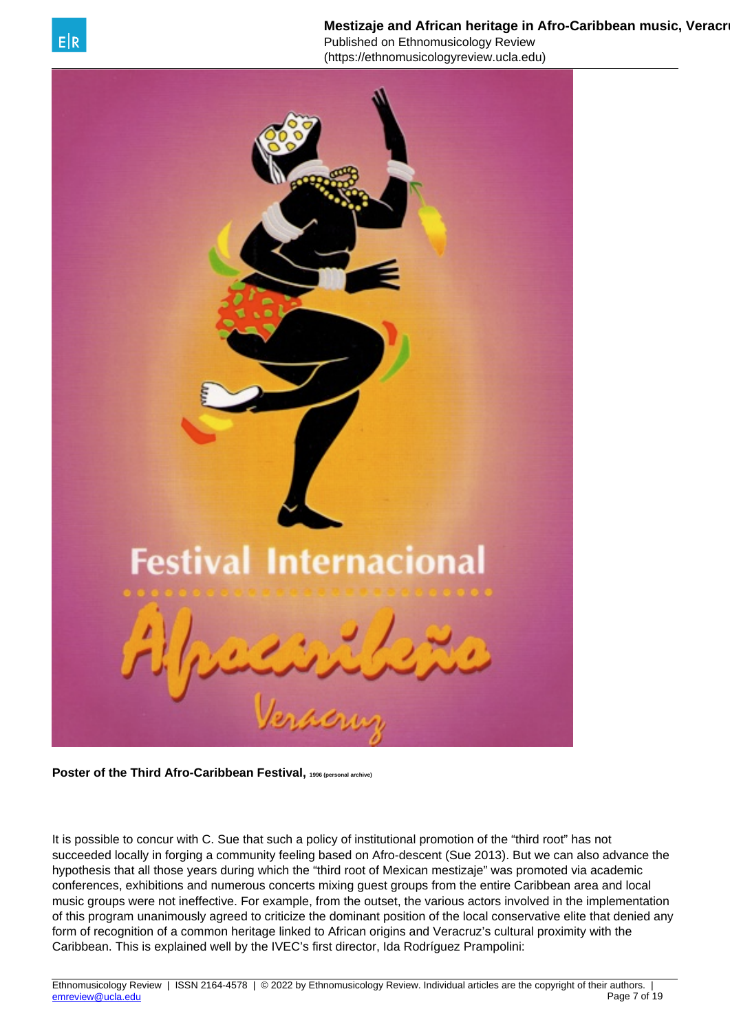

Published on Ethnomusicology Review (https://ethnomusicologyreview.ucla.edu)



**Poster of the Third Afro-Caribbean Festival, 1996 (personal archive)**

It is possible to concur with C. Sue that such a policy of institutional promotion of the "third root" has not succeeded locally in forging a community feeling based on Afro-descent (Sue 2013). But we can also advance the hypothesis that all those years during which the "third root of Mexican mestizaje" was promoted via academic conferences, exhibitions and numerous concerts mixing guest groups from the entire Caribbean area and local music groups were not ineffective. For example, from the outset, the various actors involved in the implementation of this program unanimously agreed to criticize the dominant position of the local conservative elite that denied any form of recognition of a common heritage linked to African origins and Veracruz's cultural proximity with the Caribbean. This is explained well by the IVEC's first director, Ida Rodríguez Prampolini: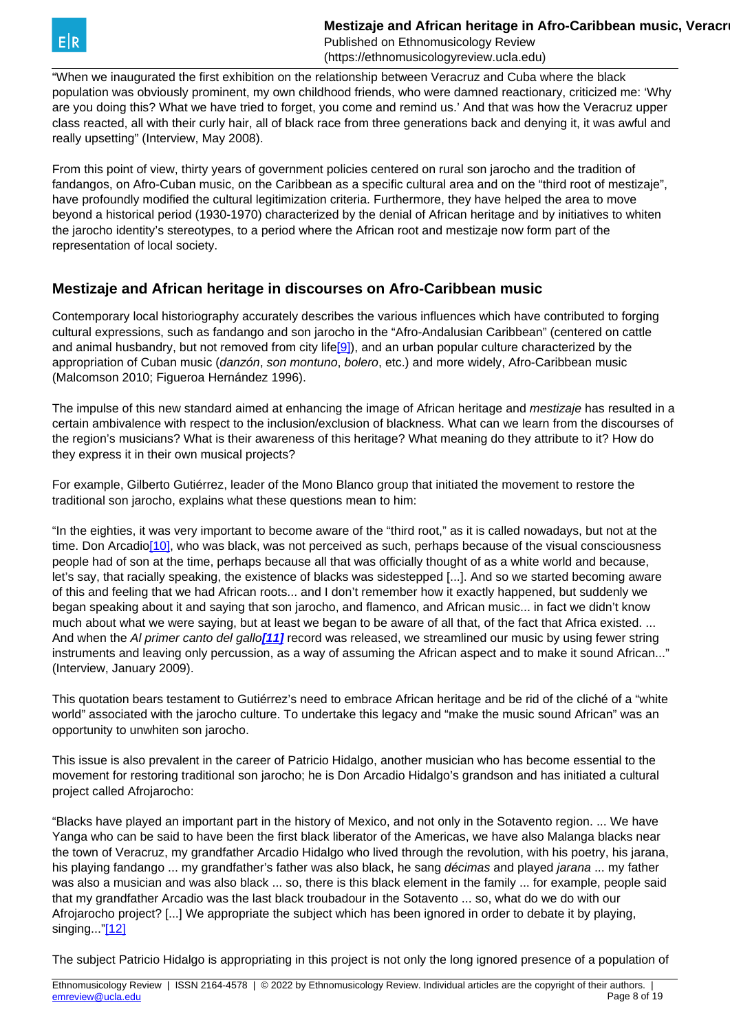<span id="page-7-0"></span>

"When we inaugurated the first exhibition on the relationship between Veracruz and Cuba where the black population was obviously prominent, my own childhood friends, who were damned reactionary, criticized me: 'Why are you doing this? What we have tried to forget, you come and remind us.' And that was how the Veracruz upper class reacted, all with their curly hair, all of black race from three generations back and denying it, it was awful and really upsetting" (Interview, May 2008).

From this point of view, thirty years of government policies centered on rural son jarocho and the tradition of fandangos, on Afro-Cuban music, on the Caribbean as a specific cultural area and on the "third root of mestizaje", have profoundly modified the cultural legitimization criteria. Furthermore, they have helped the area to move beyond a historical period (1930-1970) characterized by the denial of African heritage and by initiatives to whiten the jarocho identity's stereotypes, to a period where the African root and mestizaje now form part of the representation of local society.

#### **Mestizaje and African heritage in discourses on Afro-Caribbean music**

Contemporary local historiography accurately describes the various influences which have contributed to forging cultural expressions, such as fandango and son jarocho in the "Afro-Andalusian Caribbean" (centered on cattle and animal husbandry, but not removed from city life[\[9\]\)](#page-7-0), and an urban popular culture characterized by the appropriation of Cuban music (danzón, son montuno, bolero, etc.) and more widely, Afro-Caribbean music (Malcomson 2010; Figueroa Hernández 1996).

The impulse of this new standard aimed at enhancing the image of African heritage and *mestizaje* has resulted in a certain ambivalence with respect to the inclusion/exclusion of blackness. What can we learn from the discourses of the region's musicians? What is their awareness of this heritage? What meaning do they attribute to it? How do they express it in their own musical projects?

For example, Gilberto Gutiérrez, leader of the Mono Blanco group that initiated the movement to restore the traditional son jarocho, explains what these questions mean to him:

"In the eighties, it was very important to become aware of the "third root," as it is called nowadays, but not at the time. Don Arcadio[\[10\],](#page-7-0) who was black, was not perceived as such, perhaps because of the visual consciousness people had of son at the time, perhaps because all that was officially thought of as a white world and because, let's say, that racially speaking, the existence of blacks was sidestepped [...]. And so we started becoming aware of this and feeling that we had African roots... and I don't remember how it exactly happened, but suddenly we began speaking about it and saying that son jarocho, and flamenco, and African music... in fact we didn't know much about what we were saying, but at least we began to be aware of all that, of the fact that Africa existed. ... And when the Al primer canto del gallo**[\[11\]](#page-7-0)** record was released, we streamlined our music by using fewer string instruments and leaving only percussion, as a way of assuming the African aspect and to make it sound African..." (Interview, January 2009).

This quotation bears testament to Gutiérrez's need to embrace African heritage and be rid of the cliché of a "white world" associated with the jarocho culture. To undertake this legacy and "make the music sound African" was an opportunity to unwhiten son jarocho.

This issue is also prevalent in the career of Patricio Hidalgo, another musician who has become essential to the movement for restoring traditional son jarocho; he is Don Arcadio Hidalgo's grandson and has initiated a cultural project called Afrojarocho:

"Blacks have played an important part in the history of Mexico, and not only in the Sotavento region. ... We have Yanga who can be said to have been the first black liberator of the Americas, we have also Malanga blacks near the town of Veracruz, my grandfather Arcadio Hidalgo who lived through the revolution, with his poetry, his jarana, his playing fandango ... my grandfather's father was also black, he sang *décimas* and played *jarana* ... my father was also a musician and was also black ... so, there is this black element in the family ... for example, people said that my grandfather Arcadio was the last black troubadour in the Sotavento ... so, what do we do with our Afrojarocho project? [...] We appropriate the subject which has been ignored in order to debate it by playing, singing..."[\[12\]](#page-7-0)

The subject Patricio Hidalgo is appropriating in this project is not only the long ignored presence of a population of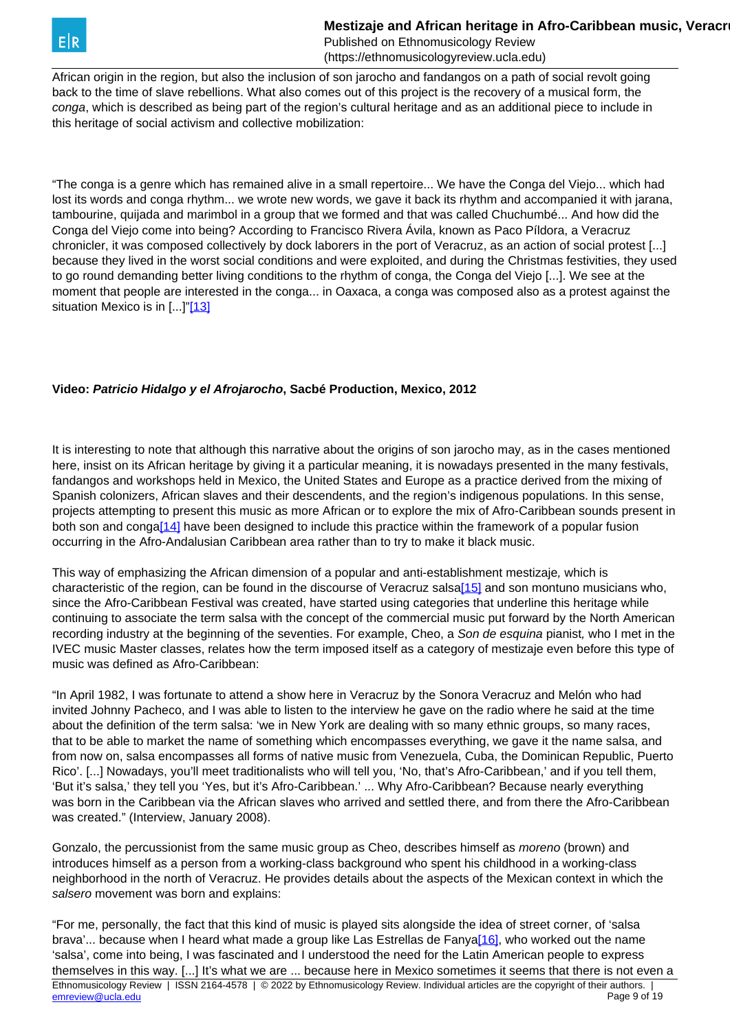<span id="page-8-0"></span>African origin in the region, but also the inclusion of son jarocho and fandangos on a path of social revolt going back to the time of slave rebellions. What also comes out of this project is the recovery of a musical form, the conga, which is described as being part of the region's cultural heritage and as an additional piece to include in this heritage of social activism and collective mobilization:

"The conga is a genre which has remained alive in a small repertoire... We have the Conga del Viejo... which had lost its words and conga rhythm... we wrote new words, we gave it back its rhythm and accompanied it with jarana, tambourine, quijada and marimbol in a group that we formed and that was called Chuchumbé... And how did the Conga del Viejo come into being? According to Francisco Rivera Ávila, known as Paco Píldora, a Veracruz chronicler, it was composed collectively by dock laborers in the port of Veracruz, as an action of social protest [...] because they lived in the worst social conditions and were exploited, and during the Christmas festivities, they used to go round demanding better living conditions to the rhythm of conga, the Conga del Viejo [...]. We see at the moment that people are interested in the conga... in Oaxaca, a conga was composed also as a protest against the situation Mexico is in [...]"[\[13\]](#page-8-0)

#### **Video: Patricio Hidalgo y el Afrojarocho, Sacbé Production, Mexico, 2012**

It is interesting to note that although this narrative about the origins of son jarocho may, as in the cases mentioned here, insist on its African heritage by giving it a particular meaning, it is nowadays presented in the many festivals, fandangos and workshops held in Mexico, the United States and Europe as a practice derived from the mixing of Spanish colonizers, African slaves and their descendents, and the region's indigenous populations. In this sense, projects attempting to present this music as more African or to explore the mix of Afro-Caribbean sounds present in both son and conga<sup>[14]</sup> have been designed to include this practice within the framework of a popular fusion occurring in the Afro-Andalusian Caribbean area rather than to try to make it black music.

This way of emphasizing the African dimension of a popular and anti-establishment mestizaje, which is characteristic of the region, can be found in the discourse of Veracruz salsa<sup>[15]</sup> and son montuno musicians who, since the Afro-Caribbean Festival was created, have started using categories that underline this heritage while continuing to associate the term salsa with the concept of the commercial music put forward by the North American recording industry at the beginning of the seventies. For example, Cheo, a Son de esquina pianist, who I met in the IVEC music Master classes, relates how the term imposed itself as a category of mestizaje even before this type of music was defined as Afro-Caribbean:

"In April 1982, I was fortunate to attend a show here in Veracruz by the Sonora Veracruz and Melón who had invited Johnny Pacheco, and I was able to listen to the interview he gave on the radio where he said at the time about the definition of the term salsa: 'we in New York are dealing with so many ethnic groups, so many races, that to be able to market the name of something which encompasses everything, we gave it the name salsa, and from now on, salsa encompasses all forms of native music from Venezuela, Cuba, the Dominican Republic, Puerto Rico'. [...] Nowadays, you'll meet traditionalists who will tell you, 'No, that's Afro-Caribbean,' and if you tell them, 'But it's salsa,' they tell you 'Yes, but it's Afro-Caribbean.' ... Why Afro-Caribbean? Because nearly everything was born in the Caribbean via the African slaves who arrived and settled there, and from there the Afro-Caribbean was created." (Interview, January 2008).

Gonzalo, the percussionist from the same music group as Cheo, describes himself as moreno (brown) and introduces himself as a person from a working-class background who spent his childhood in a working-class neighborhood in the north of Veracruz. He provides details about the aspects of the Mexican context in which the salsero movement was born and explains:

"For me, personally, the fact that this kind of music is played sits alongside the idea of street corner, of 'salsa brava'... because when I heard what made a group like Las Estrellas de Fanya<sup>[16]</sup>, who worked out the name 'salsa', come into being, I was fascinated and I understood the need for the Latin American people to express themselves in this way. [...] It's what we are ... because here in Mexico sometimes it seems that there is not even a Ethnomusicology Review | ISSN 2164-4578 | © 2022 by Ethnomusicology Review. Individual articles are the copyright of their authors. | emreview @ucla.edu Page 9 of 19 [emreview@ucla.edu](mailto:emreview@ucla.edu)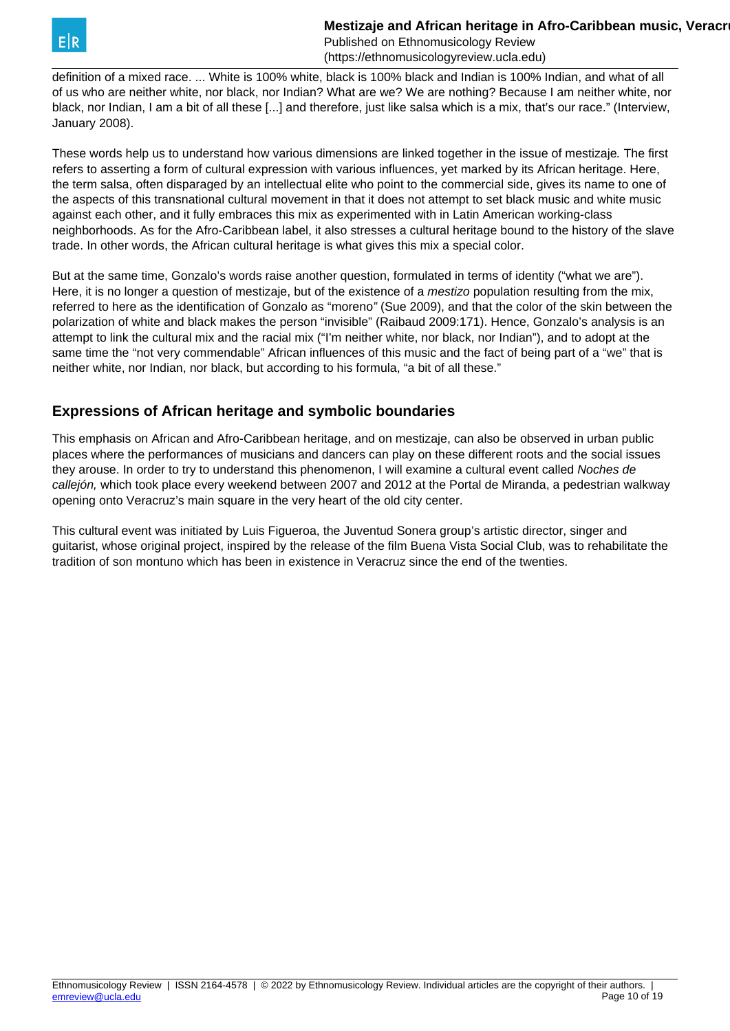definition of a mixed race. ... White is 100% white, black is 100% black and Indian is 100% Indian, and what of all of us who are neither white, nor black, nor Indian? What are we? We are nothing? Because I am neither white, nor black, nor Indian, I am a bit of all these [...] and therefore, just like salsa which is a mix, that's our race." (Interview, January 2008).

These words help us to understand how various dimensions are linked together in the issue of mestizaje. The first refers to asserting a form of cultural expression with various influences, yet marked by its African heritage. Here, the term salsa, often disparaged by an intellectual elite who point to the commercial side, gives its name to one of the aspects of this transnational cultural movement in that it does not attempt to set black music and white music against each other, and it fully embraces this mix as experimented with in Latin American working-class neighborhoods. As for the Afro-Caribbean label, it also stresses a cultural heritage bound to the history of the slave trade. In other words, the African cultural heritage is what gives this mix a special color.

But at the same time, Gonzalo's words raise another question, formulated in terms of identity ("what we are"). Here, it is no longer a question of mestizaje, but of the existence of a *mestizo* population resulting from the mix, referred to here as the identification of Gonzalo as "moreno" (Sue 2009), and that the color of the skin between the polarization of white and black makes the person "invisible" (Raibaud 2009:171). Hence, Gonzalo's analysis is an attempt to link the cultural mix and the racial mix ("I'm neither white, nor black, nor Indian"), and to adopt at the same time the "not very commendable" African influences of this music and the fact of being part of a "we" that is neither white, nor Indian, nor black, but according to his formula, "a bit of all these."

## **Expressions of African heritage and symbolic boundaries**

This emphasis on African and Afro-Caribbean heritage, and on mestizaje, can also be observed in urban public places where the performances of musicians and dancers can play on these different roots and the social issues they arouse. In order to try to understand this phenomenon, I will examine a cultural event called Noches de callejón, which took place every weekend between 2007 and 2012 at the Portal de Miranda, a pedestrian walkway opening onto Veracruz's main square in the very heart of the old city center.

This cultural event was initiated by Luis Figueroa, the Juventud Sonera group's artistic director, singer and guitarist, whose original project, inspired by the release of the film Buena Vista Social Club, was to rehabilitate the tradition of son montuno which has been in existence in Veracruz since the end of the twenties.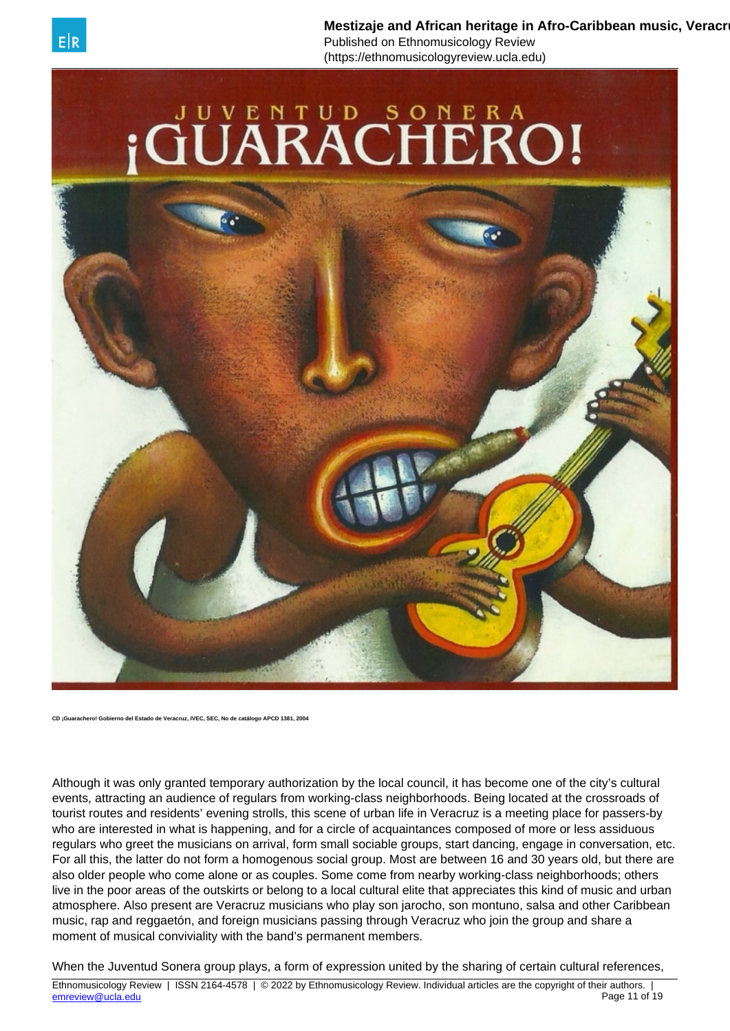

**Mestizaje and African heritage in Afro-Caribbean music, Veracr** Published on Ethnomusicology Review

(https://ethnomusicologyreview.ucla.edu)



**CD ¡Guarachero! Gobierno del Estado de Veracruz, IVEC, SEC, No de catálogo APCD 1381, 2004**

Although it was only granted temporary authorization by the local council, it has become one of the city's cultural events, attracting an audience of regulars from working-class neighborhoods. Being located at the crossroads of tourist routes and residents' evening strolls, this scene of urban life in Veracruz is a meeting place for passers-by who are interested in what is happening, and for a circle of acquaintances composed of more or less assiduous regulars who greet the musicians on arrival, form small sociable groups, start dancing, engage in conversation, etc. For all this, the latter do not form a homogenous social group. Most are between 16 and 30 years old, but there are also older people who come alone or as couples. Some come from nearby working-class neighborhoods; others live in the poor areas of the outskirts or belong to a local cultural elite that appreciates this kind of music and urban atmosphere. Also present are Veracruz musicians who play son jarocho, son montuno, salsa and other Caribbean music, rap and reggaetón, and foreign musicians passing through Veracruz who join the group and share a moment of musical conviviality with the band's permanent members.

When the Juventud Sonera group plays, a form of expression united by the sharing of certain cultural references,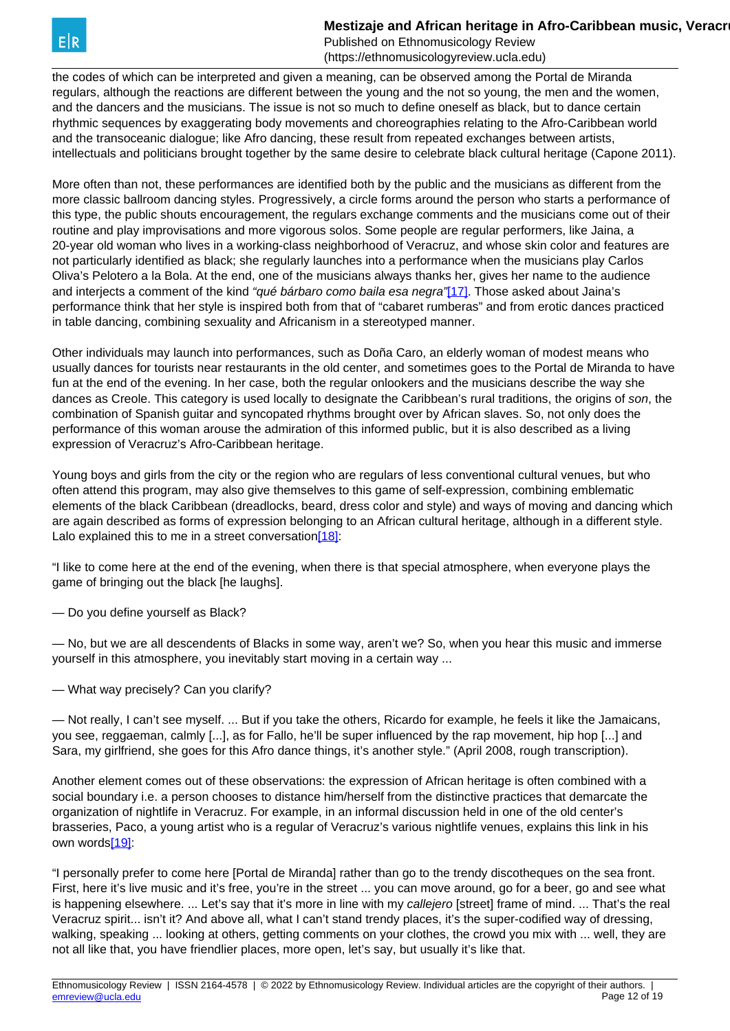<span id="page-11-0"></span>the codes of which can be interpreted and given a meaning, can be observed among the Portal de Miranda regulars, although the reactions are different between the young and the not so young, the men and the women, and the dancers and the musicians. The issue is not so much to define oneself as black, but to dance certain rhythmic sequences by exaggerating body movements and choreographies relating to the Afro-Caribbean world and the transoceanic dialogue; like Afro dancing, these result from repeated exchanges between artists, intellectuals and politicians brought together by the same desire to celebrate black cultural heritage (Capone 2011).

More often than not, these performances are identified both by the public and the musicians as different from the more classic ballroom dancing styles. Progressively, a circle forms around the person who starts a performance of this type, the public shouts encouragement, the regulars exchange comments and the musicians come out of their routine and play improvisations and more vigorous solos. Some people are regular performers, like Jaina, a 20-year old woman who lives in a working-class neighborhood of Veracruz, and whose skin color and features are not particularly identified as black; she regularly launches into a performance when the musicians play Carlos Oliva's Pelotero a la Bola. At the end, one of the musicians always thanks her, gives her name to the audience and interjects a comment of the kind "qué bárbaro como baila esa negra"[\[17\].](#page-11-0) Those asked about Jaina's performance think that her style is inspired both from that of "cabaret rumberas" and from erotic dances practiced in table dancing, combining sexuality and Africanism in a stereotyped manner.

Other individuals may launch into performances, such as Doña Caro, an elderly woman of modest means who usually dances for tourists near restaurants in the old center, and sometimes goes to the Portal de Miranda to have fun at the end of the evening. In her case, both the regular onlookers and the musicians describe the way she dances as Creole. This category is used locally to designate the Caribbean's rural traditions, the origins of son, the combination of Spanish guitar and syncopated rhythms brought over by African slaves. So, not only does the performance of this woman arouse the admiration of this informed public, but it is also described as a living expression of Veracruz's Afro-Caribbean heritage.

Young boys and girls from the city or the region who are regulars of less conventional cultural venues, but who often attend this program, may also give themselves to this game of self-expression, combining emblematic elements of the black Caribbean (dreadlocks, beard, dress color and style) and ways of moving and dancing which are again described as forms of expression belonging to an African cultural heritage, although in a different style. Lalo explained this to me in a street conversatio[n\[18\]:](#page-11-0)

"I like to come here at the end of the evening, when there is that special atmosphere, when everyone plays the game of bringing out the black [he laughs].

— Do you define yourself as Black?

— No, but we are all descendents of Blacks in some way, aren't we? So, when you hear this music and immerse yourself in this atmosphere, you inevitably start moving in a certain way ...

— What way precisely? Can you clarify?

— Not really, I can't see myself. ... But if you take the others, Ricardo for example, he feels it like the Jamaicans, you see, reggaeman, calmly [...], as for Fallo, he'll be super influenced by the rap movement, hip hop [...] and Sara, my girlfriend, she goes for this Afro dance things, it's another style." (April 2008, rough transcription).

Another element comes out of these observations: the expression of African heritage is often combined with a social boundary i.e. a person chooses to distance him/herself from the distinctive practices that demarcate the organization of nightlife in Veracruz. For example, in an informal discussion held in one of the old center's brasseries, Paco, a young artist who is a regular of Veracruz's various nightlife venues, explains this link in his own word[s\[19\]:](#page-11-0)

"I personally prefer to come here [Portal de Miranda] rather than go to the trendy discotheques on the sea front. First, here it's live music and it's free, you're in the street ... you can move around, go for a beer, go and see what is happening elsewhere. ... Let's say that it's more in line with my callejero [street] frame of mind. ... That's the real Veracruz spirit... isn't it? And above all, what I can't stand trendy places, it's the super-codified way of dressing, walking, speaking ... looking at others, getting comments on your clothes, the crowd you mix with ... well, they are not all like that, you have friendlier places, more open, let's say, but usually it's like that.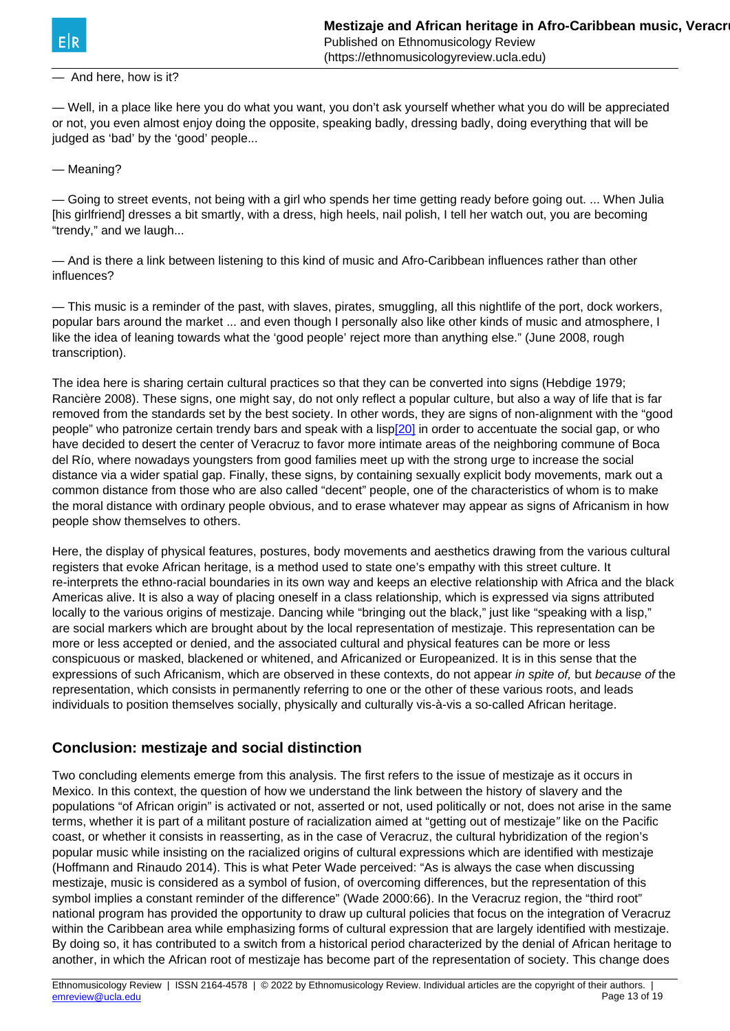#### <span id="page-12-0"></span>— And here, how is it?

— Well, in a place like here you do what you want, you don't ask yourself whether what you do will be appreciated or not, you even almost enjoy doing the opposite, speaking badly, dressing badly, doing everything that will be judged as 'bad' by the 'good' people...

— Meaning?

— Going to street events, not being with a girl who spends her time getting ready before going out. ... When Julia [his girlfriend] dresses a bit smartly, with a dress, high heels, nail polish, I tell her watch out, you are becoming "trendy," and we laugh...

— And is there a link between listening to this kind of music and Afro-Caribbean influences rather than other influences?

— This music is a reminder of the past, with slaves, pirates, smuggling, all this nightlife of the port, dock workers, popular bars around the market ... and even though I personally also like other kinds of music and atmosphere, I like the idea of leaning towards what the 'good people' reject more than anything else." (June 2008, rough transcription).

The idea here is sharing certain cultural practices so that they can be converted into signs (Hebdige 1979; Rancière 2008). These signs, one might say, do not only reflect a popular culture, but also a way of life that is far removed from the standards set by the best society. In other words, they are signs of non-alignment with the "good people" who patronize certain trendy bars and speak with a lis[p\[20\]](#page-12-0) in order to accentuate the social gap, or who have decided to desert the center of Veracruz to favor more intimate areas of the neighboring commune of Boca del Río, where nowadays youngsters from good families meet up with the strong urge to increase the social distance via a wider spatial gap. Finally, these signs, by containing sexually explicit body movements, mark out a common distance from those who are also called "decent" people, one of the characteristics of whom is to make the moral distance with ordinary people obvious, and to erase whatever may appear as signs of Africanism in how people show themselves to others.

Here, the display of physical features, postures, body movements and aesthetics drawing from the various cultural registers that evoke African heritage, is a method used to state one's empathy with this street culture. It re-interprets the ethno-racial boundaries in its own way and keeps an elective relationship with Africa and the black Americas alive. It is also a way of placing oneself in a class relationship, which is expressed via signs attributed locally to the various origins of mestizaje. Dancing while "bringing out the black," just like "speaking with a lisp," are social markers which are brought about by the local representation of mestizaje. This representation can be more or less accepted or denied, and the associated cultural and physical features can be more or less conspicuous or masked, blackened or whitened, and Africanized or Europeanized. It is in this sense that the expressions of such Africanism, which are observed in these contexts, do not appear in spite of, but because of the representation, which consists in permanently referring to one or the other of these various roots, and leads individuals to position themselves socially, physically and culturally vis-à-vis a so-called African heritage.

#### **Conclusion: mestizaje and social distinction**

Two concluding elements emerge from this analysis. The first refers to the issue of mestizaje as it occurs in Mexico. In this context, the question of how we understand the link between the history of slavery and the populations "of African origin" is activated or not, asserted or not, used politically or not, does not arise in the same terms, whether it is part of a militant posture of racialization aimed at "getting out of mestizaje" like on the Pacific coast, or whether it consists in reasserting, as in the case of Veracruz, the cultural hybridization of the region's popular music while insisting on the racialized origins of cultural expressions which are identified with mestizaje (Hoffmann and Rinaudo 2014). This is what Peter Wade perceived: "As is always the case when discussing mestizaje, music is considered as a symbol of fusion, of overcoming differences, but the representation of this symbol implies a constant reminder of the difference" (Wade 2000:66). In the Veracruz region, the "third root" national program has provided the opportunity to draw up cultural policies that focus on the integration of Veracruz within the Caribbean area while emphasizing forms of cultural expression that are largely identified with mestizaje. By doing so, it has contributed to a switch from a historical period characterized by the denial of African heritage to another, in which the African root of mestizaje has become part of the representation of society. This change does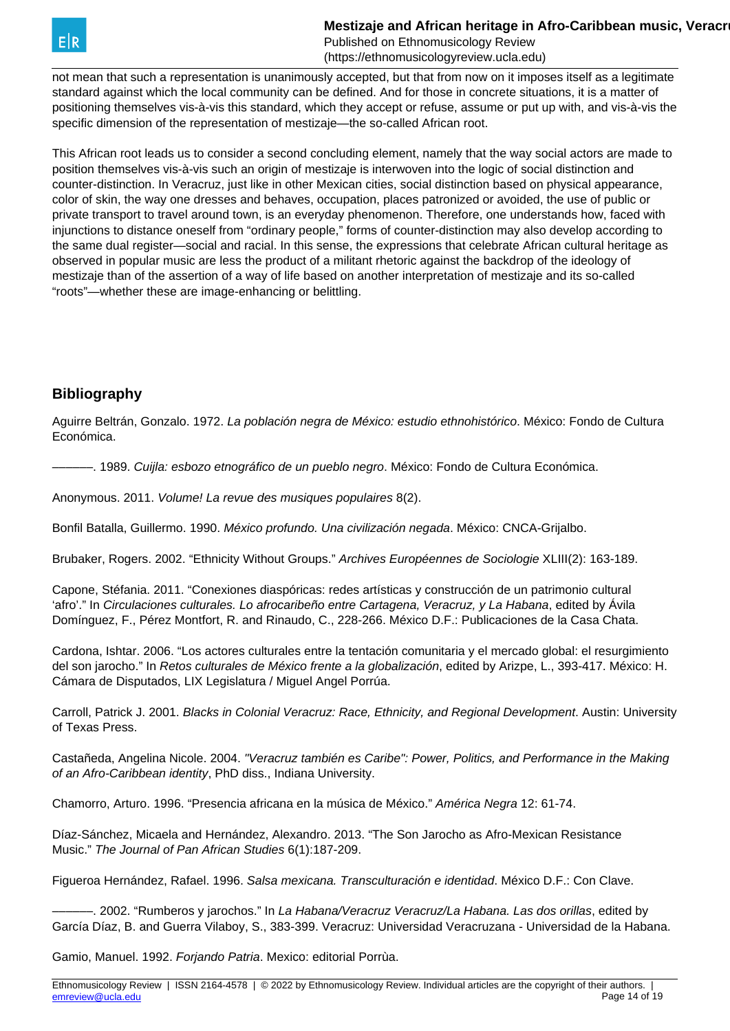

not mean that such a representation is unanimously accepted, but that from now on it imposes itself as a legitimate standard against which the local community can be defined. And for those in concrete situations, it is a matter of positioning themselves vis-à-vis this standard, which they accept or refuse, assume or put up with, and vis-à-vis the specific dimension of the representation of mestizaje—the so-called African root.

This African root leads us to consider a second concluding element, namely that the way social actors are made to position themselves vis-à-vis such an origin of mestizaje is interwoven into the logic of social distinction and counter-distinction. In Veracruz, just like in other Mexican cities, social distinction based on physical appearance, color of skin, the way one dresses and behaves, occupation, places patronized or avoided, the use of public or private transport to travel around town, is an everyday phenomenon. Therefore, one understands how, faced with injunctions to distance oneself from "ordinary people," forms of counter-distinction may also develop according to the same dual register—social and racial. In this sense, the expressions that celebrate African cultural heritage as observed in popular music are less the product of a militant rhetoric against the backdrop of the ideology of mestizaje than of the assertion of a way of life based on another interpretation of mestizaje and its so-called "roots"—whether these are image-enhancing or belittling.

#### **Bibliography**

Aguirre Beltrán, Gonzalo. 1972. La población negra de México: estudio ethnohistórico. México: Fondo de Cultura Económica.

––––––. 1989. Cuijla: esbozo etnográfico de un pueblo negro. México: Fondo de Cultura Económica.

Anonymous. 2011. Volume! La revue des musiques populaires 8(2).

Bonfil Batalla, Guillermo. 1990. México profundo. Una civilización negada. México: CNCA-Grijalbo.

Brubaker, Rogers. 2002. "Ethnicity Without Groups." Archives Européennes de Sociologie XLIII(2): 163-189.

Capone, Stéfania. 2011. "Conexiones diaspóricas: redes artísticas y construcción de un patrimonio cultural 'afro'." In Circulaciones culturales. Lo afrocaribeño entre Cartagena, Veracruz, y La Habana, edited by Ávila Domínguez, F., Pérez Montfort, R. and Rinaudo, C., 228-266. México D.F.: Publicaciones de la Casa Chata.

Cardona, Ishtar. 2006. "Los actores culturales entre la tentación comunitaria y el mercado global: el resurgimiento del son jarocho." In Retos culturales de México frente a la globalización, edited by Arizpe, L., 393-417. México: H. Cámara de Disputados, LIX Legislatura / Miguel Angel Porrúa.

Carroll, Patrick J. 2001. Blacks in Colonial Veracruz: Race, Ethnicity, and Regional Development. Austin: University of Texas Press.

Castañeda, Angelina Nicole. 2004. "Veracruz también es Caribe": Power, Politics, and Performance in the Making of an Afro-Caribbean identity, PhD diss., Indiana University.

Chamorro, Arturo. 1996. "Presencia africana en la música de México." América Negra 12: 61-74.

Díaz-Sánchez, Micaela and Hernández, Alexandro. 2013. "The Son Jarocho as Afro-Mexican Resistance Music." The Journal of Pan African Studies 6(1):187-209.

Figueroa Hernández, Rafael. 1996. Salsa mexicana. Transculturación e identidad. México D.F.: Con Clave.

–. 2002. "Rumberos y jarochos." In *La Habana/Veracruz Veracruz/La Habana. Las dos orillas*, edited by García Díaz, B. and Guerra Vilaboy, S., 383-399. Veracruz: Universidad Veracruzana - Universidad de la Habana.

Gamio, Manuel. 1992. Forjando Patria. Mexico: editorial Porrùa.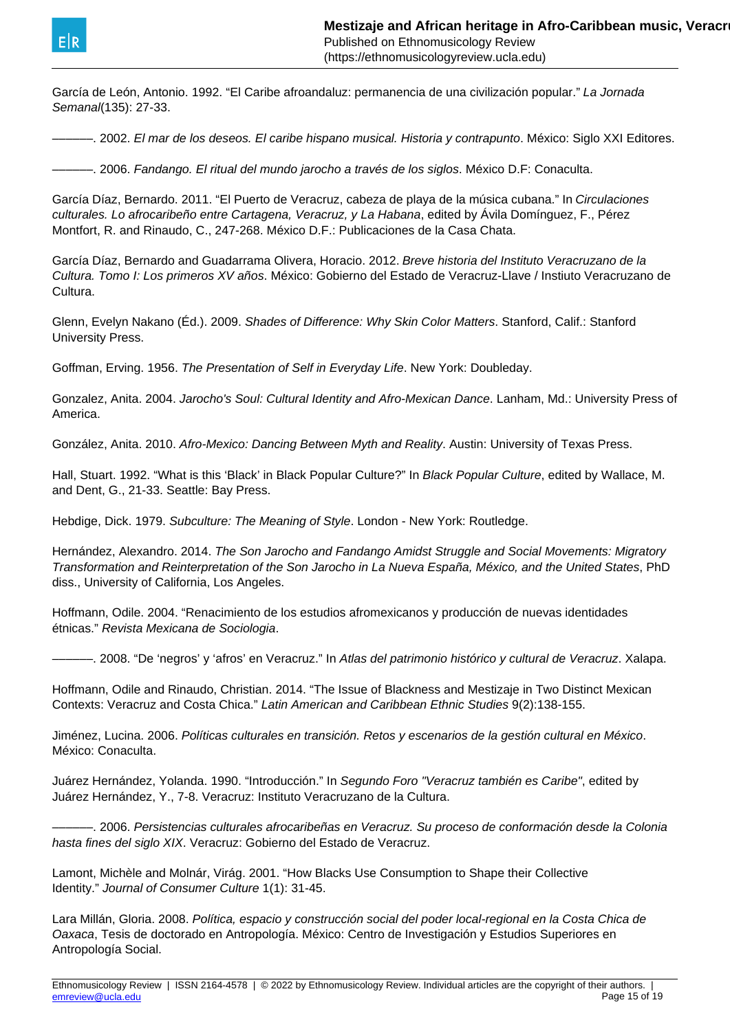

García de León, Antonio. 1992. "El Caribe afroandaluz: permanencia de una civilización popular." La Jornada Semanal(135): 27-33.

––––––. 2002. El mar de los deseos. El caribe hispano musical. Historia y contrapunto. México: Siglo XXI Editores.

––––––. 2006. Fandango. El ritual del mundo jarocho a través de los siglos. México D.F: Conaculta.

García Díaz, Bernardo. 2011. "El Puerto de Veracruz, cabeza de playa de la música cubana." In Circulaciones culturales. Lo afrocaribeño entre Cartagena, Veracruz, y La Habana, edited by Ávila Domínguez, F., Pérez Montfort, R. and Rinaudo, C., 247-268. México D.F.: Publicaciones de la Casa Chata.

García Díaz, Bernardo and Guadarrama Olivera, Horacio. 2012. Breve historia del Instituto Veracruzano de la Cultura. Tomo I: Los primeros XV años. México: Gobierno del Estado de Veracruz-Llave / Instiuto Veracruzano de Cultura.

Glenn, Evelyn Nakano (Éd.). 2009. Shades of Difference: Why Skin Color Matters. Stanford, Calif.: Stanford University Press.

Goffman, Erving. 1956. The Presentation of Self in Everyday Life. New York: Doubleday.

Gonzalez, Anita. 2004. Jarocho's Soul: Cultural Identity and Afro-Mexican Dance. Lanham, Md.: University Press of America.

González, Anita. 2010. Afro-Mexico: Dancing Between Myth and Reality. Austin: University of Texas Press.

Hall, Stuart. 1992. "What is this 'Black' in Black Popular Culture?" In Black Popular Culture, edited by Wallace, M. and Dent, G., 21-33. Seattle: Bay Press.

Hebdige, Dick. 1979. Subculture: The Meaning of Style. London - New York: Routledge.

Hernández, Alexandro. 2014. The Son Jarocho and Fandango Amidst Struggle and Social Movements: Migratory Transformation and Reinterpretation of the Son Jarocho in La Nueva España, México, and the United States, PhD diss., University of California, Los Angeles.

Hoffmann, Odile. 2004. "Renacimiento de los estudios afromexicanos y producción de nuevas identidades étnicas." Revista Mexicana de Sociologia.

––––––. 2008. "De 'negros' y 'afros' en Veracruz." In Atlas del patrimonio histórico y cultural de Veracruz. Xalapa.

Hoffmann, Odile and Rinaudo, Christian. 2014. "The Issue of Blackness and Mestizaje in Two Distinct Mexican Contexts: Veracruz and Costa Chica." Latin American and Caribbean Ethnic Studies 9(2):138-155.

Jiménez, Lucina. 2006. Políticas culturales en transición. Retos y escenarios de la gestión cultural en México. México: Conaculta.

Juárez Hernández, Yolanda. 1990. "Introducción." In Segundo Foro "Veracruz también es Caribe", edited by Juárez Hernández, Y., 7-8. Veracruz: Instituto Veracruzano de la Cultura.

––––––. 2006. Persistencias culturales afrocaribeñas en Veracruz. Su proceso de conformación desde la Colonia hasta fines del siglo XIX. Veracruz: Gobierno del Estado de Veracruz.

Lamont, Michèle and Molnár, Virág. 2001. "How Blacks Use Consumption to Shape their Collective Identity." Journal of Consumer Culture 1(1): 31-45.

Lara Millán, Gloria. 2008. Política, espacio y construcción social del poder local-regional en la Costa Chica de Oaxaca, Tesis de doctorado en Antropología. México: Centro de Investigación y Estudios Superiores en Antropología Social.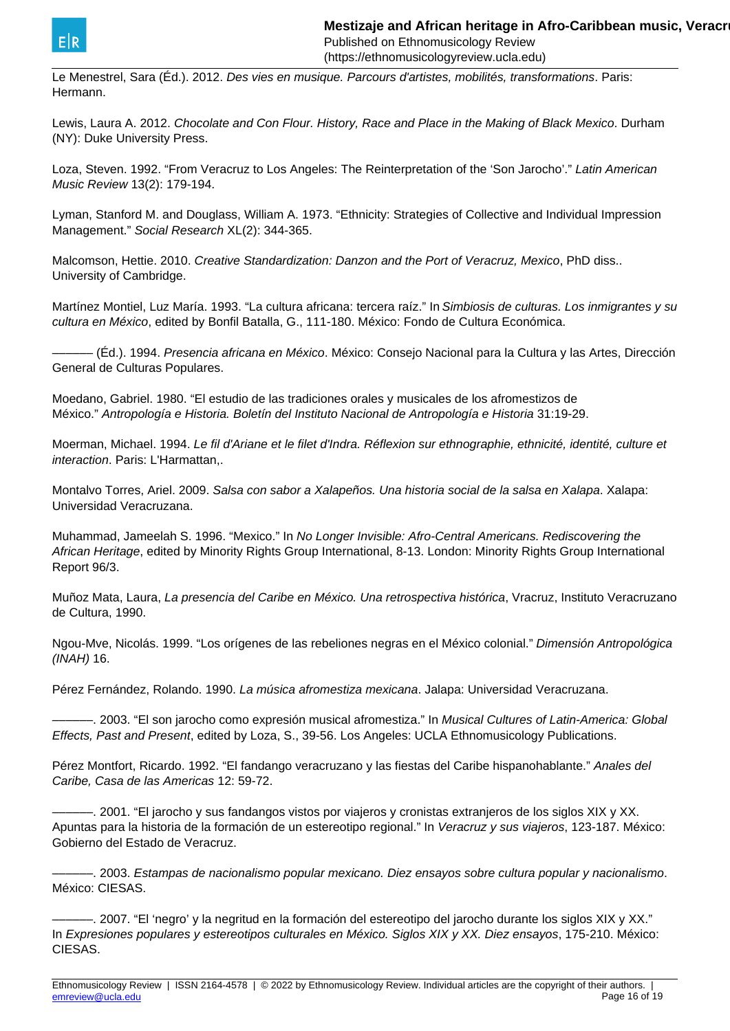

Le Menestrel, Sara (Éd.). 2012. Des vies en musique. Parcours d'artistes, mobilités, transformations. Paris: Hermann.

Lewis, Laura A. 2012. Chocolate and Con Flour. History, Race and Place in the Making of Black Mexico. Durham (NY): Duke University Press.

Loza, Steven. 1992. "From Veracruz to Los Angeles: The Reinterpretation of the 'Son Jarocho'." Latin American Music Review 13(2): 179-194.

Lyman, Stanford M. and Douglass, William A. 1973. "Ethnicity: Strategies of Collective and Individual Impression Management." Social Research XL(2): 344-365.

Malcomson, Hettie. 2010. Creative Standardization: Danzon and the Port of Veracruz, Mexico, PhD diss.. University of Cambridge.

Martínez Montiel, Luz María. 1993. "La cultura africana: tercera raíz." In Simbiosis de culturas. Los inmigrantes y su cultura en México, edited by Bonfil Batalla, G., 111-180. México: Fondo de Cultura Económica.

–––––– (Éd.). 1994. Presencia africana en México. México: Consejo Nacional para la Cultura y las Artes, Dirección General de Culturas Populares.

Moedano, Gabriel. 1980. "El estudio de las tradiciones orales y musicales de los afromestizos de México." Antropología e Historia. Boletín del Instituto Nacional de Antropología e Historia 31:19-29.

Moerman, Michael. 1994. Le fil d'Ariane et le filet d'Indra. Réflexion sur ethnographie, ethnicité, identité, culture et interaction. Paris: L'Harmattan,.

Montalvo Torres, Ariel. 2009. Salsa con sabor a Xalapeños. Una historia social de la salsa en Xalapa. Xalapa: Universidad Veracruzana.

Muhammad, Jameelah S. 1996. "Mexico." In No Longer Invisible: Afro-Central Americans. Rediscovering the African Heritage, edited by Minority Rights Group International, 8-13. London: Minority Rights Group International Report 96/3.

Muñoz Mata, Laura, La presencia del Caribe en México. Una retrospectiva histórica, Vracruz, Instituto Veracruzano de Cultura, 1990.

Ngou-Mve, Nicolás. 1999. "Los orígenes de las rebeliones negras en el México colonial." Dimensión Antropológica (INAH) 16.

Pérez Fernández, Rolando. 1990. La música afromestiza mexicana. Jalapa: Universidad Veracruzana.

––––––. 2003. "El son jarocho como expresión musical afromestiza." In Musical Cultures of Latin-America: Global Effects, Past and Present, edited by Loza, S., 39-56. Los Angeles: UCLA Ethnomusicology Publications.

Pérez Montfort, Ricardo. 1992. "El fandango veracruzano y las fiestas del Caribe hispanohablante." Anales del Caribe, Casa de las Americas 12: 59-72.

––––––. 2001. "El jarocho y sus fandangos vistos por viajeros y cronistas extranjeros de los siglos XIX y XX. Apuntas para la historia de la formación de un estereotipo regional." In Veracruz y sus viajeros, 123-187. México: Gobierno del Estado de Veracruz.

––––––. 2003. Estampas de nacionalismo popular mexicano. Diez ensayos sobre cultura popular y nacionalismo. México: CIESAS.

––––––. 2007. "El 'negro' y la negritud en la formación del estereotipo del jarocho durante los siglos XIX y XX." In Expresiones populares y estereotipos culturales en México. Siglos XIX y XX. Diez ensayos, 175-210. México: CIESAS.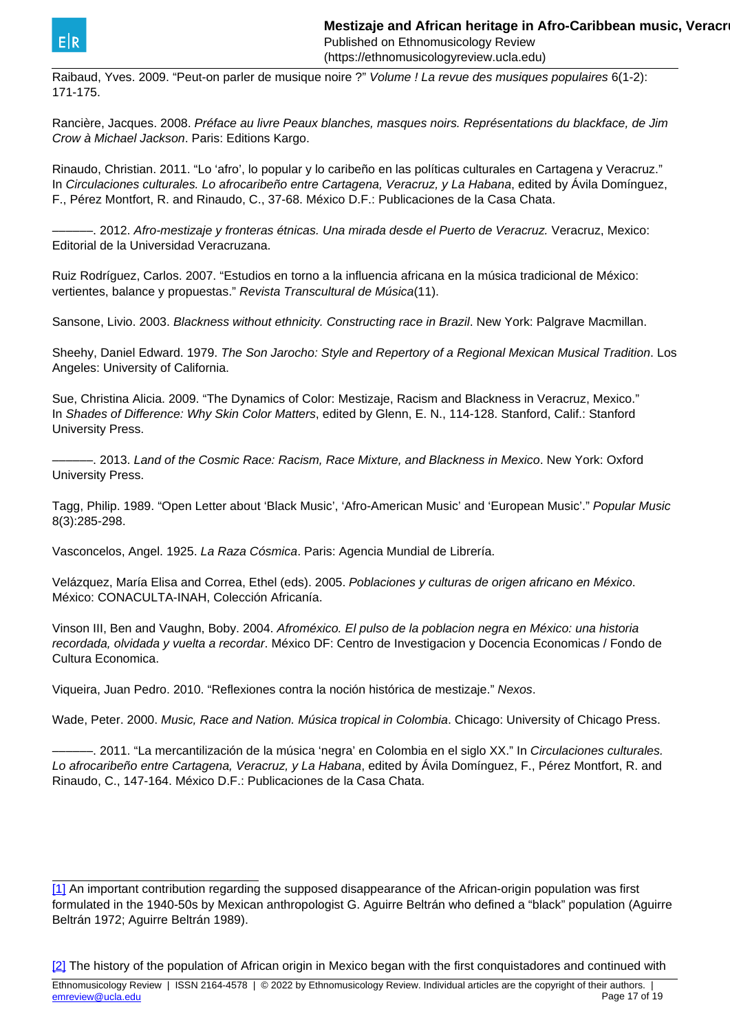<span id="page-16-0"></span>

(https://ethnomusicologyreview.ucla.edu)

Raibaud, Yves. 2009. "Peut-on parler de musique noire ?" Volume ! La revue des musiques populaires 6(1-2): 171-175.

Rancière, Jacques. 2008. Préface au livre Peaux blanches, masques noirs. Représentations du blackface, de Jim Crow à Michael Jackson. Paris: Editions Kargo.

Rinaudo, Christian. 2011. "Lo 'afro', lo popular y lo caribeño en las políticas culturales en Cartagena y Veracruz." In Circulaciones culturales. Lo afrocaribeño entre Cartagena, Veracruz, y La Habana, edited by Ávila Domínguez, F., Pérez Montfort, R. and Rinaudo, C., 37-68. México D.F.: Publicaciones de la Casa Chata.

––––––. 2012. Afro-mestizaje y fronteras étnicas. Una mirada desde el Puerto de Veracruz. Veracruz, Mexico: Editorial de la Universidad Veracruzana.

Ruiz Rodríguez, Carlos. 2007. "Estudios en torno a la influencia africana en la música tradicional de México: vertientes, balance y propuestas." Revista Transcultural de Música(11).

Sansone, Livio. 2003. Blackness without ethnicity. Constructing race in Brazil. New York: Palgrave Macmillan.

Sheehy, Daniel Edward. 1979. The Son Jarocho: Style and Repertory of a Regional Mexican Musical Tradition. Los Angeles: University of California.

Sue, Christina Alicia. 2009. "The Dynamics of Color: Mestizaje, Racism and Blackness in Veracruz, Mexico." In Shades of Difference: Why Skin Color Matters, edited by Glenn, E. N., 114-128. Stanford, Calif.: Stanford University Press.

––––––. 2013. Land of the Cosmic Race: Racism, Race Mixture, and Blackness in Mexico. New York: Oxford University Press.

Tagg, Philip. 1989. "Open Letter about 'Black Music', 'Afro-American Music' and 'European Music'." Popular Music 8(3):285-298.

Vasconcelos, Angel. 1925. La Raza Cósmica. Paris: Agencia Mundial de Librería.

Velázquez, María Elisa and Correa, Ethel (eds). 2005. Poblaciones y culturas de origen africano en México. México: CONACULTA-INAH, Colección Africanía.

Vinson III, Ben and Vaughn, Boby. 2004. Afroméxico. El pulso de la poblacion negra en México: una historia recordada, olvidada y vuelta a recordar. México DF: Centro de Investigacion y Docencia Economicas / Fondo de Cultura Economica.

Viqueira, Juan Pedro. 2010. "Reflexiones contra la noción histórica de mestizaje." Nexos.

Wade, Peter. 2000. Music, Race and Nation. Música tropical in Colombia. Chicago: University of Chicago Press.

–. 2011. "La mercantilización de la música 'negra' en Colombia en el siglo XX." In Circulaciones culturales. Lo afrocaribeño entre Cartagena, Veracruz, y La Habana, edited by Ávila Domínguez, F., Pérez Montfort, R. and Rinaudo, C., 147-164. México D.F.: Publicaciones de la Casa Chata.

[<sup>\[1\]</sup>](#page-16-0) An important contribution regarding the supposed disappearance of the African-origin population was first formulated in the 1940-50s by Mexican anthropologist G. Aguirre Beltrán who defined a "black" population (Aguirre Beltrán 1972; Aguirre Beltrán 1989).

[<sup>\[2\]</sup>](#page-16-0) The history of the population of African origin in Mexico began with the first conquistadores and continued with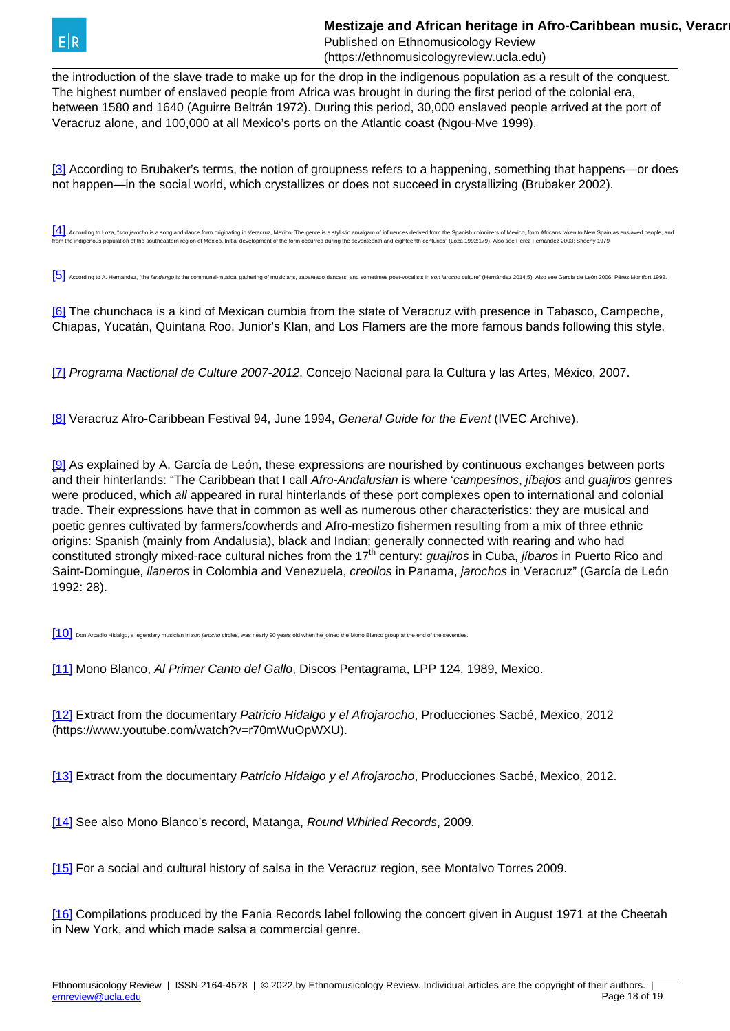<span id="page-17-0"></span>

the introduction of the slave trade to make up for the drop in the indigenous population as a result of the conquest. The highest number of enslaved people from Africa was brought in during the first period of the colonial era, between 1580 and 1640 (Aguirre Beltrán 1972). During this period, 30,000 enslaved people arrived at the port of Veracruz alone, and 100,000 at all Mexico's ports on the Atlantic coast (Ngou-Mve 1999).

[\[3\]](#page-17-0) According to Brubaker's terms, the notion of groupness refers to a happening, something that happens—or does not happen—in the social world, which crystallizes or does not succeed in crystallizing (Brubaker 2002).

[\[4\]](#page-17-0) According to Loza, "son jarocho is a song and dance form originating in Veracruz, Mexico. The genre is a stylistic amalgam of influences derived from the Spanish colonizers of Mexico, from Africans taken to New Spain a from the indigenous population of the southeastern region of Mexico. Initial development of the form occurred during the seventeenth and eighteenth centuries" (Loza 1992:179). Also see Pérez Fernández 2003; Sheehy 1979

[\[5\]](#page-17-0) According to A. Hernandez, "the fandango is the communal-musical gathering of musicians, zapateado dancers, and sometimes poet-vocalists in son iarocho culture" (Hernández 2014:5). Also see Garcia de León 2006: Pérez M

[\[6\]](#page-17-0) The chunchaca is a kind of Mexican cumbia from the state of Veracruz with presence in Tabasco, Campeche, Chiapas, Yucatán, Quintana Roo. Junior's Klan, and Los Flamers are the more famous bands following this style.

[\[7\]](#page-17-0) Programa Nactional de Culture 2007-2012, Concejo Nacional para la Cultura y las Artes, México, 2007.

[\[8\]](#page-17-0) Veracruz Afro-Caribbean Festival 94, June 1994, General Guide for the Event (IVEC Archive).

[\[9\]](#page-17-0) As explained by A. García de León, these expressions are nourished by continuous exchanges between ports and their hinterlands: "The Caribbean that I call Afro-Andalusian is where 'campesinos, *jibajos* and *quajiros* genres were produced, which all appeared in rural hinterlands of these port complexes open to international and colonial trade. Their expressions have that in common as well as numerous other characteristics: they are musical and poetic genres cultivated by farmers/cowherds and Afro-mestizo fishermen resulting from a mix of three ethnic origins: Spanish (mainly from Andalusia), black and Indian; generally connected with rearing and who had constituted strongly mixed-race cultural niches from the 17<sup>th</sup> century: *guajiros* in Cuba, *jíbaros* in Puerto Rico and Saint-Domingue, *llaneros* in Colombia and Venezuela, *creollos* in Panama, *jarochos* in Veracruz" (García de León 1992: 28).

[\[10\]](#page-17-0) Don Arcadio Hidalgo, a legendary musician in son jarocho circles, was nearly 90 years old when he joined the Mono Blanco group at the end of the seventies

[\[11\]](#page-17-0) Mono Blanco, Al Primer Canto del Gallo, Discos Pentagrama, LPP 124, 1989, Mexico.

[\[12\]](#page-17-0) Extract from the documentary Patricio Hidalgo y el Afrojarocho, Producciones Sacbé, Mexico, 2012 (https://www.youtube.com/watch?v=r70mWuOpWXU).

[\[13\]](#page-17-0) Extract from the documentary Patricio Hidalgo y el Afrojarocho, Producciones Sacbé, Mexico, 2012.

[\[14\]](#page-17-0) See also Mono Blanco's record, Matanga, Round Whirled Records, 2009.

[\[15\]](#page-17-0) For a social and cultural history of salsa in the Veracruz region, see Montalvo Torres 2009.

[\[16\]](#page-17-0) Compilations produced by the Fania Records label following the concert given in August 1971 at the Cheetah in New York, and which made salsa a commercial genre.